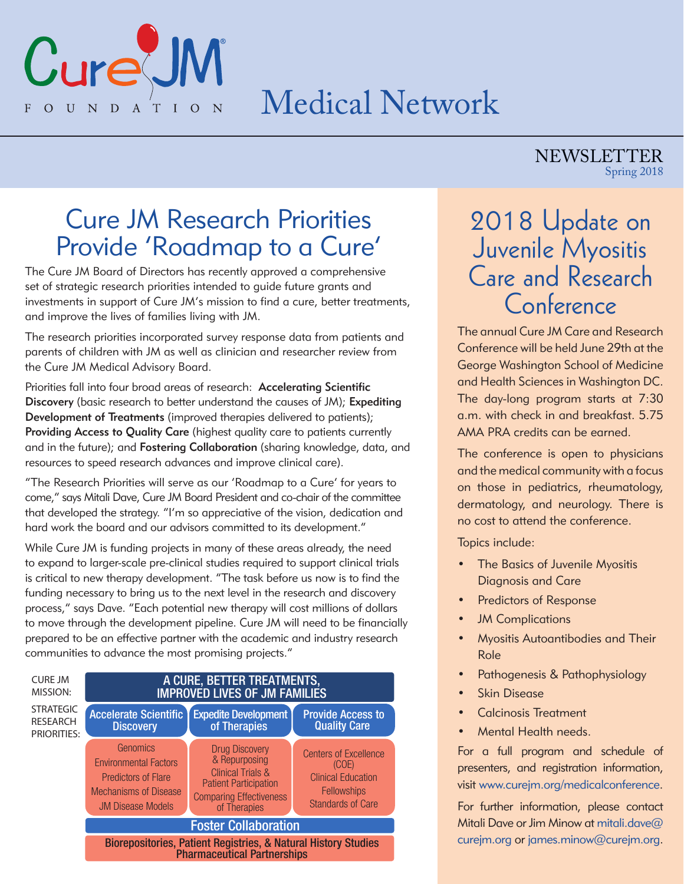

# Medical Network

#### NEWSLETTER Spring 2018

### Cure JM Research Priorities Provide 'Roadmap to a Cure'

The Cure JM Board of Directors has recently approved a comprehensive set of strategic research priorities intended to guide future grants and investments in support of Cure JM's mission to find a cure, better treatments, and improve the lives of families living with JM.

The research priorities incorporated survey response data from patients and parents of children with JM as well as clinician and researcher review from the Cure JM Medical Advisory Board.

Priorities fall into four broad areas of research: Accelerating Scientific Discovery (basic research to better understand the causes of JM); Expediting Development of Treatments (improved therapies delivered to patients); Providing Access to Quality Care (highest quality care to patients currently and in the future); and Fostering Collaboration (sharing knowledge, data, and resources to speed research advances and improve clinical care).

"The Research Priorities will serve as our 'Roadmap to a Cure' for years to come," says Mitali Dave, Cure JM Board President and co-chair of the committee that developed the strategy. "I'm so appreciative of the vision, dedication and hard work the board and our advisors committed to its development."

While Cure JM is funding projects in many of these areas already, the need to expand to larger-scale pre-clinical studies required to support clinical trials is critical to new therapy development. "The task before us now is to find the funding necessary to bring us to the next level in the research and discovery process," says Dave. "Each potential new therapy will cost millions of dollars to move through the development pipeline. Cure JM will need to be financially prepared to be an effective partner with the academic and industry research communities to advance the most promising projects."



### 2018 Update on Juvenile Myositis Care and Research Conference

The annual Cure JM Care and Research Conference will be held June 29th at the George Washington School of Medicine and Health Sciences in Washington DC. The day-long program starts at 7:30 a.m. with check in and breakfast. 5.75 AMA PRA credits can be earned.

The conference is open to physicians and the medical community with a focus on those in pediatrics, rheumatology, dermatology, and neurology. There is no cost to attend the conference.

Topics include:

- The Basics of Juvenile Myositis Diagnosis and Care
- **Predictors of Response**
- **JM Complications**
- Myositis Autoantibodies and Their Role
- Pathogenesis & Pathophysiology
- Skin Disease
- Calcinosis Treatment
- Mental Health needs.

For a full program and schedule of presenters, and registration information, visit www.curejm.org/medicalconference.

For further information, please contact Mitali Dave or Jim Minow at mitali.dave@ curejm.org or james.minow@curejm.org.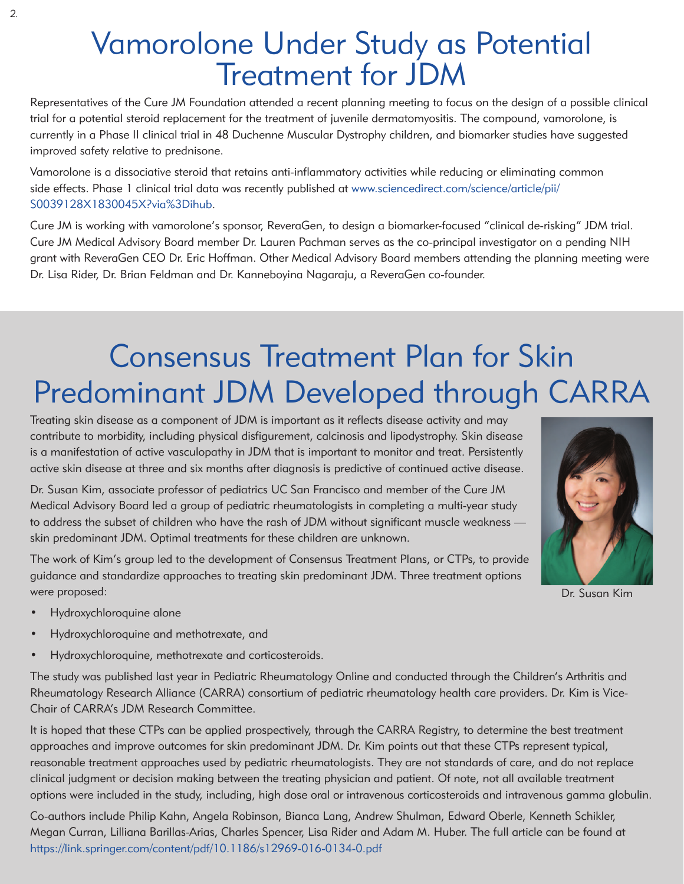# Vamorolone Under Study as Potential Treatment for JDM

Representatives of the Cure JM Foundation attended a recent planning meeting to focus on the design of a possible clinical trial for a potential steroid replacement for the treatment of juvenile dermatomyositis. The compound, vamorolone, is currently in a Phase II clinical trial in 48 Duchenne Muscular Dystrophy children, and biomarker studies have suggested improved safety relative to prednisone.

Vamorolone is a dissociative steroid that retains anti-inflammatory activities while reducing or eliminating common side effects. Phase 1 clinical trial data was recently published at www.sciencedirect.com/science/article/pii/ S0039128X1830045X?via%3Dihub.

Cure JM is working with vamorolone's sponsor, ReveraGen, to design a biomarker-focused "clinical de-risking" JDM trial. Cure JM Medical Advisory Board member Dr. Lauren Pachman serves as the co-principal investigator on a pending NIH grant with ReveraGen CEO Dr. Eric Hoffman. Other Medical Advisory Board members attending the planning meeting were Dr. Lisa Rider, Dr. Brian Feldman and Dr. Kanneboyina Nagaraju, a ReveraGen co-founder.

# Consensus Treatment Plan for Skin Predominant JDM Developed through CARRA

Treating skin disease as a component of JDM is important as it reflects disease activity and may contribute to morbidity, including physical disfigurement, calcinosis and lipodystrophy. Skin disease is a manifestation of active vasculopathy in JDM that is important to monitor and treat. Persistently active skin disease at three and six months after diagnosis is predictive of continued active disease.

Dr. Susan Kim, associate professor of pediatrics UC San Francisco and member of the Cure JM Medical Advisory Board led a group of pediatric rheumatologists in completing a multi-year study to address the subset of children who have the rash of JDM without significant muscle weakness skin predominant JDM. Optimal treatments for these children are unknown.

The work of Kim's group led to the development of Consensus Treatment Plans, or CTPs, to provide guidance and standardize approaches to treating skin predominant JDM. Three treatment options were proposed:

- Hydroxychloroquine alone
- Hydroxychloroquine and methotrexate, and
- Hydroxychloroquine, methotrexate and corticosteroids.

The study was published last year in Pediatric Rheumatology Online and conducted through the Children's Arthritis and Rheumatology Research Alliance (CARRA) consortium of pediatric rheumatology health care providers. Dr. Kim is Vice-Chair of CARRA's JDM Research Committee.

It is hoped that these CTPs can be applied prospectively, through the CARRA Registry, to determine the best treatment approaches and improve outcomes for skin predominant JDM. Dr. Kim points out that these CTPs represent typical, reasonable treatment approaches used by pediatric rheumatologists. They are not standards of care, and do not replace clinical judgment or decision making between the treating physician and patient. Of note, not all available treatment options were included in the study, including, high dose oral or intravenous corticosteroids and intravenous gamma globulin.

Co-authors include Philip Kahn, Angela Robinson, Bianca Lang, Andrew Shulman, Edward Oberle, Kenneth Schikler, Megan Curran, Lilliana Barillas-Arias, Charles Spencer, Lisa Rider and Adam M. Huber. The full article can be found at https://link.springer.com/content/pdf/10.1186/s12969-016-0134-0.pdf



Dr. Susan Kim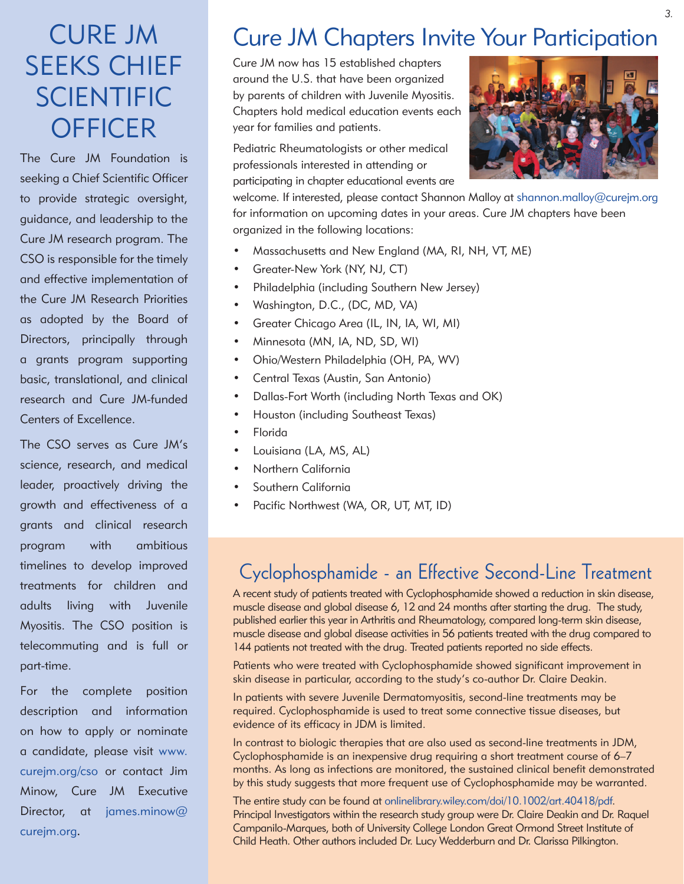## CURE JM SEEKS CHIEF SCIENTIFIC **OFFICER**

The Cure JM Foundation is seeking a Chief Scientific Officer to provide strategic oversight, guidance, and leadership to the Cure JM research program. The CSO is responsible for the timely and effective implementation of the Cure JM Research Priorities as adopted by the Board of Directors, principally through a grants program supporting basic, translational, and clinical research and Cure JM-funded Centers of Excellence.

The CSO serves as Cure JM's science, research, and medical leader, proactively driving the growth and effectiveness of a grants and clinical research program with ambitious timelines to develop improved treatments for children and adults living with Juvenile Myositis. The CSO position is telecommuting and is full or part-time.

For the complete position description and information on how to apply or nominate a candidate, please visit www. curejm.org/cso or contact Jim Minow, Cure JM Executive Director, at james.minow@ curejm.org.

### Cure JM Chapters Invite Your Participation

Cure JM now has 15 established chapters around the U.S. that have been organized by parents of children with Juvenile Myositis. Chapters hold medical education events each year for families and patients.

Pediatric Rheumatologists or other medical professionals interested in attending or participating in chapter educational events are



welcome. If interested, please contact Shannon Malloy at shannon.malloy@curejm.org for information on upcoming dates in your areas. Cure JM chapters have been organized in the following locations:

- Massachusetts and New England (MA, RI, NH, VT, ME)
- Greater-New York (NY, NJ, CT)
- Philadelphia (including Southern New Jersey)
- Washington, D.C., (DC, MD, VA)
- Greater Chicago Area (IL, IN, IA, WI, MI)
- Minnesota (MN, IA, ND, SD, WI)
- Ohio/Western Philadelphia (OH, PA, WV)
- Central Texas (Austin, San Antonio)
- Dallas-Fort Worth (including North Texas and OK)
- Houston (including Southeast Texas)
- Florida
- Louisiana (LA, MS, AL)
- Northern California
- Southern California
- Pacific Northwest (WA, OR, UT, MT, ID)

### Cyclophosphamide - an Effective Second-Line Treatment

A recent study of patients treated with Cyclophosphamide showed a reduction in skin disease, muscle disease and global disease 6, 12 and 24 months after starting the drug. The study, published earlier this year in Arthritis and Rheumatology, compared long-term skin disease, muscle disease and global disease activities in 56 patients treated with the drug compared to 144 patients not treated with the drug. Treated patients reported no side effects.

Patients who were treated with Cyclophosphamide showed significant improvement in skin disease in particular, according to the study's co-author Dr. Claire Deakin.

In patients with severe Juvenile Dermatomyositis, second-line treatments may be required. Cyclophosphamide is used to treat some connective tissue diseases, but evidence of its efficacy in JDM is limited.

In contrast to biologic therapies that are also used as second-line treatments in JDM, Cyclophosphamide is an inexpensive drug requiring a short treatment course of 6–7 months. As long as infections are monitored, the sustained clinical benefit demonstrated by this study suggests that more frequent use of Cyclophosphamide may be warranted.

The entire study can be found at onlinelibrary.wiley.com/doi/10.1002/art.40418/pdf. Principal Investigators within the research study group were Dr. Claire Deakin and Dr. Raquel Campanilo-Marques, both of University College London Great Ormond Street Institute of Child Heath. Other authors included Dr. Lucy Wedderburn and Dr. Clarissa Pilkington.